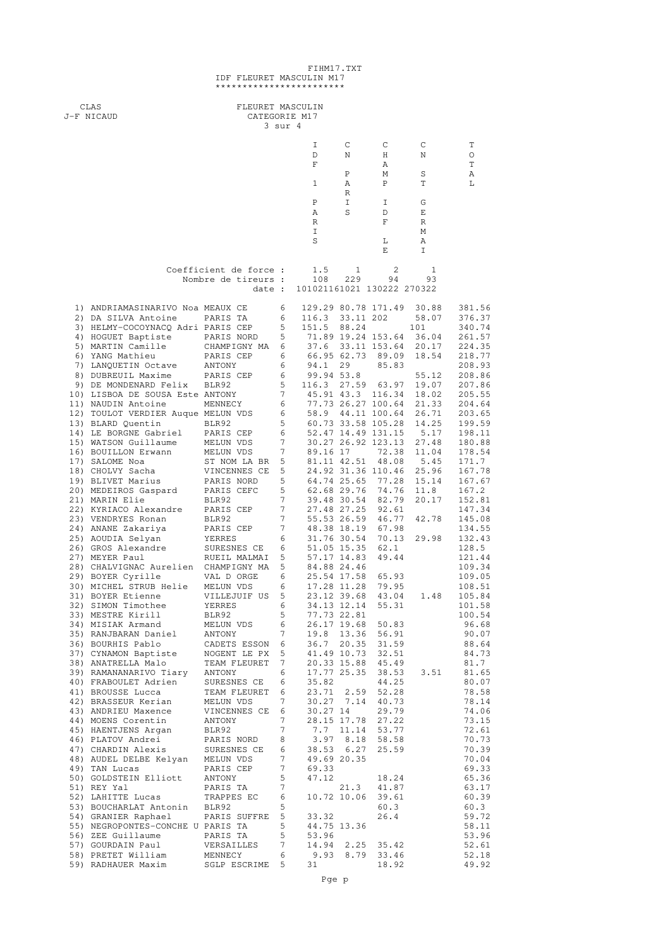## FIHM17.TXT IDF FLEURET MASCULIN M17<br>\*\*\*\*\*\*\*\*\*\*\*\*\*\*\*\*\*\*\*\*\*\*\*\*\*

| CLAS<br>J-F NICAUD                                                    | FLEURET MASCULIN<br>CATEGORIE M17 |                      |                                   |           |                                          |                |                  |
|-----------------------------------------------------------------------|-----------------------------------|----------------------|-----------------------------------|-----------|------------------------------------------|----------------|------------------|
|                                                                       |                                   | 3 sur 4              |                                   |           |                                          |                |                  |
|                                                                       |                                   |                      | I<br>D                            | C<br>Ν    | С<br>Η                                   | C<br>Ν         | Τ<br>O           |
|                                                                       |                                   |                      | F                                 |           | Α                                        |                | Τ                |
|                                                                       |                                   |                      | $\mathbf{1}$                      | Ρ<br>Α    | М<br>$\, {\bf P}$                        | S<br>Τ         | Α<br>L           |
|                                                                       |                                   |                      | Ρ                                 | R<br>I    | I                                        | G              |                  |
|                                                                       |                                   |                      | Α<br>R                            | S         | D<br>F                                   | Ε<br>R         |                  |
|                                                                       |                                   |                      | I                                 |           |                                          | М              |                  |
|                                                                       |                                   |                      | S                                 |           | L<br>Ε                                   | Α<br>I         |                  |
|                                                                       | Coefficient de force :            |                      | 1.5                               | 1         | 2                                        | 1              |                  |
|                                                                       | Nombre de tireurs :<br>date :     |                      | 108<br>101021161021 130222 270322 | 229       | 94                                       | 93             |                  |
|                                                                       |                                   |                      |                                   |           |                                          |                |                  |
| 1) ANDRIAMASINARIVO Noa MEAUX CE<br>2) DA SILVA Antoine               | PARIS TA                          | 6<br>6               | 116.3                             | 33.11 202 | 129.29 80.78 171.49                      | 30.88<br>58.07 | 381.56<br>376.37 |
| 3) HELMY-COCOYNACQ Adri PARIS CEP                                     |                                   | 5                    | 151.5                             | 88.24     |                                          | 101            | 340.74           |
| 4) HOGUET Baptiste<br>5) MARTIN Camille                               | PARIS NORD<br>CHAMPIGNY MA        | 5<br>6               |                                   |           | 71.89 19.24 153.64<br>37.6 33.11 153.64  | 36.04<br>20.17 | 261.57<br>224.35 |
| 6) YANG Mathieu                                                       | PARIS CEP                         | 6                    | 66.95 62.73                       |           | 89.09                                    | 18.54          | 218.77           |
| 7) LANQUETIN Octave                                                   | ANTONY                            | 6                    | 94.1                              | 29        | 85.83                                    |                | 208.93<br>208.86 |
| 8) DUBREUIL Maxime<br>9) DE MONDENARD Felix                           | PARIS CEP<br>BLR92                | 6<br>5               | 99.94 53.8<br>116.3               | 27.59     | 63.97                                    | 55.12<br>19.07 | 207.86           |
| 10) LISBOA DE SOUSA Este ANTONY                                       |                                   | 7                    | 45.91 43.3                        |           | 116.34                                   | 18.02          | 205.55           |
| 11) NAUDIN Antoine<br>12) TOULOT VERDIER Auque MELUN VDS              | MENNECY                           | 6<br>6               |                                   |           | 77.73 26.27 100.64<br>58.9 44.11 100.64  | 21.33<br>26.71 | 204.64<br>203.65 |
| 13) BLARD Quentin                                                     | BLR92                             | 5                    |                                   |           | 60.73 33.58 105.28                       | 14.25          | 199.59           |
| 14) LE BORGNE Gabriel<br>15) WATSON Guillaume                         | PARIS CEP<br>MELUN VDS            | 6<br>7               |                                   |           | 52.47 14.49 131.15<br>30.27 26.92 123.13 | 5.17<br>27.48  | 198.11<br>180.88 |
| 16) BOUILLON Erwann                                                   | MELUN VDS                         | 7                    | 89.16 17                          |           | 72.38                                    | 11.04          | 178.54           |
| 17) SALOME Noa<br>18) CHOLVY Sacha                                    | ST NOM LA BR<br>VINCENNES CE      | 5<br>5               | 81.11 42.51                       |           | 48.08<br>24.92 31.36 110.46              | 5.45<br>25.96  | 171.7<br>167.78  |
| 19) BLIVET Marius                                                     | PARIS NORD                        | 5                    | 64.74 25.65                       |           | 77.28                                    | 15.14          | 167.67           |
| 20) MEDEIROS Gaspard<br>21) MARIN Elie                                | PARIS CEFC<br>BLR92               | 5<br>7               | 62.68 29.76<br>39.48 30.54        |           | 74.76<br>82.79                           | 11.8<br>20.17  | 167.2<br>152.81  |
| 22) KYRIACO Alexandre                                                 | PARIS CEP                         | 7                    | 27.48 27.25                       |           | 92.61                                    |                | 147.34           |
| 23) VENDRYES Ronan<br>24) ANANE Zakariya                              | BLR92<br>PARIS CEP                | 7<br>7               | 48.38 18.19                       |           | 55.53 26.59 46.77<br>67.98               | 42.78          | 145.08<br>134.55 |
| 25) AOUDIA Selyan                                                     | YERRES                            | 6                    | 31.76 30.54                       |           | 70.13                                    | 29.98          | 132.43           |
| 26) GROS Alexandre<br>27) MEYER Paul                                  | SURESNES CE<br>RUEIL MALMAI       | 6<br>5               | 51.05 15.35<br>57.17 14.83        |           | 62.1<br>49.44                            |                | 128.5<br>121.44  |
| 28) CHALVIGNAC Aurelien CHAMPIGNY MA                                  |                                   | 5                    | 84.88 24.46                       |           |                                          |                | 109.34           |
| 29) BOYER Cyrille<br>30) MICHEL STRUB Helie                           | VAL D ORGE<br>MELUN VDS           | 6<br>6               | 25.54 17.58<br>17.28 11.28        |           | 65.93<br>79.95                           |                | 109.05<br>108.51 |
| 31) BOYER Etienne                                                     | VILLEJUIF US                      | 5                    | 23.12 39.68                       |           | 43.04                                    | 1.48           | 105.84           |
| 32) SIMON Timothee<br>33) MESTRE Kirill                               | YERRES<br>BLR92                   | 6<br>5               | 34.13 12.14<br>77.73 22.81        |           | 55.31                                    |                | 101.58<br>100.54 |
| 34) MISIAK Armand                                                     | MELUN VDS                         | 6                    |                                   |           | 26.17 19.68 50.83                        |                | 96.68            |
| 35) RANJBARAN Daniel<br>36) BOURHIS Pablo                             | ANTONY<br>CADETS ESSON            | 7<br>- 6             |                                   |           | 19.8 13.36 56.91<br>36.7 20.35 31.59     |                | 90.07<br>88.64   |
| 37) CYNAMON Baptiste                                                  | NOGENT LE PX                      | 5                    |                                   |           | 41.49 10.73 32.51                        |                | 84.73            |
| 38) ANATRELLA Malo<br>39) RAMANANARIVO Tiary                          | TEAM FLEURET<br>ANTONY            | 7<br>6               |                                   |           | 20.33 15.88 45.49<br>17.77 25.35 38.53   | 3.51           | 81.7<br>81.65    |
| 40) FRABOULET Adrien                                                  | SURESNES CE                       | 6                    | 35.82                             |           | 44.25                                    |                | 80.07            |
| 41) BROUSSE Lucca<br>42) BRASSEUR Kerian                              | TEAM FLEURET<br>MELUN VDS         | 6<br>7               | 23.71                             |           | 2.59 52.28<br>30.27 7.14 40.73           |                | 78.58<br>78.14   |
| 43) ANDRIEU Maxence                                                   | VINCENNES CE                      | 6                    | 30.27 14                          |           | 29.79                                    |                | 74.06            |
| 44) MOENS Corentin                                                    | ANTONY                            | $7^{\circ}$<br>7     |                                   |           | 28.15 17.78 27.22                        |                | 73.15            |
| 45) HAENTJENS Argan<br>46) PLATOV Andrei                              | BLR92<br>PARIS NORD               | 8                    |                                   |           | 7.7 11.14 53.77<br>3.97 8.18 58.58       |                | 72.61<br>70.73   |
| 47) CHARDIN Alexis                                                    | SURESNES CE                       | 6                    |                                   |           | 38.53 6.27 25.59                         |                | 70.39            |
| 48) AUDEL DELBE Kelyan MELUN VDS<br>49) TAN Lucas                     | PARIS CEP                         | 7<br>7               | 49.69 20.35<br>69.33              |           |                                          |                | 70.04<br>69.33   |
| 50) GOLDSTEIN Elliott                                                 | ANTONY                            | 5                    | 47.12                             |           | 18.24                                    |                | 65.36            |
| 51) REY Yal<br>52) LAHITTE Lucas                                      | PARIS TA<br>TRAPPES EC            | $7\overline{ }$<br>6 |                                   | 21.3      | 41.87<br>10.72 10.06 39.61               |                | 63.17<br>60.39   |
| 53) BOUCHARLAT Antonin BLR92                                          |                                   | 5                    |                                   |           | 60.3                                     |                | 60.3             |
| 54) GRANIER Raphael PARIS SUFFRE<br>55) NEGROPONTES-CONCHE U PARIS TA |                                   | 5<br>5               | 33.32<br>44.75 13.36              |           | 26.4                                     |                | 59.72<br>58.11   |
| 56) ZEE Guillaume                                                     | PARIS TA                          | 5                    | 53.96                             |           |                                          |                | 53.96            |
| 57) GOURDAIN Paul<br>58) PRETET William                               | VERSAILLES<br>MENNECY             | 7<br>6               |                                   |           | 14.94 2.25 35.42<br>9.93 8.79 33.46      |                | 52.61<br>52.18   |
| 59) RADHAUER Maxim                                                    | SGLP ESCRIME 5                    |                      | 31                                |           | 18.92                                    |                | 49.92            |
|                                                                       |                                   |                      | Pge p                             |           |                                          |                |                  |
|                                                                       |                                   |                      |                                   |           |                                          |                |                  |